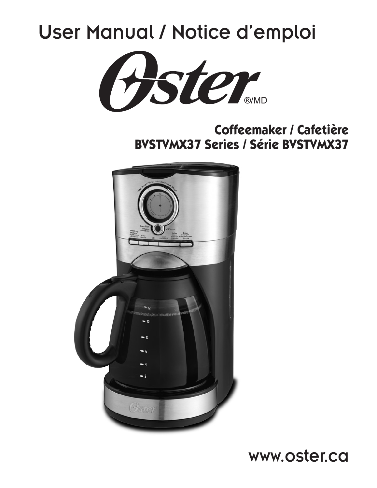## User Manual / Notice d'emploi



**Coffeemaker / Cafetière BVSTVMX37 Series / Série BVSTVMX37**



**Prime en China/ Imprime en China/ Imprime en Chine Prime en Chine Prime en Chine Prime en Chine Prime en Chin**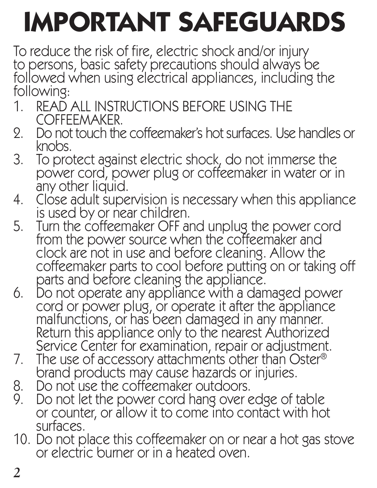# **IMPORTANT SAFEGUARDS**

To reduce the risk of fire, electric shock and/or injury to persons, basic safety precautions should always be followed when using electrical appliances, including the following:

- 1. READ ALL INSTRUCTIONS BEFORE USING THE COFFEEMAKER.
- 2. Do not touch the coffeemaker's hot surfaces. Use handles or knobs.
- 3. To protect against electric shock, do not immerse the power cord, power plug or coffeemaker in water or in
- 4. Close adult supervision is necessary when this appliance is used by or near children.
- 5. Turn the coffeemaker OFF and unplug the power cord from the power source when the coffeemaker and clock are not in use and before cleaning. Allow the coffeemaker parts to cool before putting on or taking off parts and before cleaning the appliance.
- 6. Do not operate any appliance with a damaged power cord or power plug, or operate it after the appliance malfunctions, or has been damaged in any manner. Return this appliance only to the nearest Authorized Service Center for examination, repair or adjustment.
- 7. The use of accessory attachments other than Oster<sup>®</sup> brand products may cause hazards or injuries.<br>8. Do not use the coffeemaker outdoors.<br>9. Do not let the power cord hang over edge of t
- 
- Do not let the power cord hang over edge of table or counter, or allow it to come into contact with hot surfaces.
- 10. Do not place this coffeemaker on or near a hot gas stove or electric burner or in a heated oven.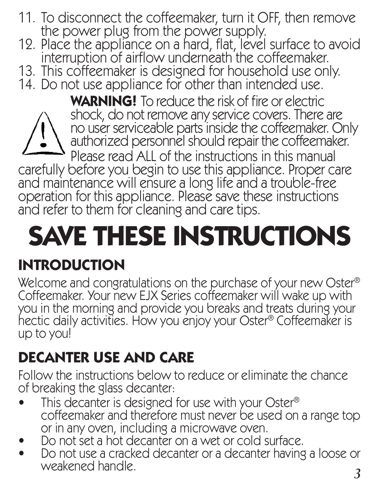- 11. To disconnect the coffeemaker, turn it OFF, then remove
- 12. Place the appliance on a hard, flat, level surface to avoid<br>interruption of airflow underneath the coffeemaker.
- 13. This coffeemaker is designed for household use only.<br>14. Do not use appliance for other than intended use.
- 

 **WARNING!** To reduce the risk of fire or electric shock, do not remove any service covers. There are no user serviceable parts inside the coffeemaker. Only authorized personnel should repair the coffeemaker. Please read ALL of the instructions in this manual

carefully before you begin to use this appliance. Proper care and maintenance will ensure a long life and a trouble-free operation for this appliance. Please save these instructions and refer to them for cleaning and care tips.

# **SAVE THESE INSTRUCTIONS**

## **INTRODUCTION**

Welcome and congratulations on the purchase of your new Oster® Coffeemaker. Your new EJX Series coffeemaker will wake up with you in the morning and provide you breaks and treats during your hectic daily activities. How you enjoy your Oster® Coffeemaker is up to you!

## **DECANTER USE AND CARE**

Follow the instructions below to reduce or eliminate the chance of breaking the glass decanter:

- This decanter is designed for use with your Oster® coffeemaker and therefore must never be used on a range top or in any oven, including a microwave oven.
- Do not set a hot decanter on a wet or cold surface.
- *2 3* • Do not use a cracked decanter or a decanter having a loose or weakened handle.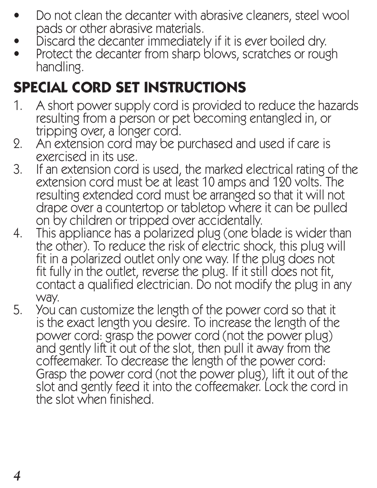- Do not clean the decanter with abrasive cleaners, steel wool pads or other abrasive materials.
- Discard the decanter immediately if it is ever boiled dry.
- Protect the decanter from sharp blows, scratches or rough handling.

## **SPECIAL CORD SET INSTRUCTIONS**

- 1. A short power supply cord is provided to reduce the hazards resulting from a person or pet becoming entangled in, or tripping over, a longer cord.
- 2. An extension cord may be purchased and used if care is exercised in its use.
- 3. If an extension cord is used, the marked electrical rating of the extension cord must be at least 10 amps and 120 volts. The resulting extended cord must be arranged so that it will not drape over a countertop or tabletop where it can be pulled on by children or tripped over accidentally.
- 4. This appliance has a polarized plug (one blade is wider than the other). To reduce the risk of electric shock, this plug will fit in a polarized outlet only one way. If the plug does not fit fully in the outlet, reverse the plug. If it still does not fit, contact a qualified electrician. Do not modify the plug in any way.
- 5. You can customize the length of the power cord so that it is the exact length you desire. To increase the length of the power cord: grasp the power cord (not the power plug) and gently lift it out of the slot, then pull it away from the coffeemaker. To decrease the length of the power cord: Grasp the power cord (not the power plug), lift it out of the slot and gently feed it into the coffeemaker. Lock the cord in the slot when finished.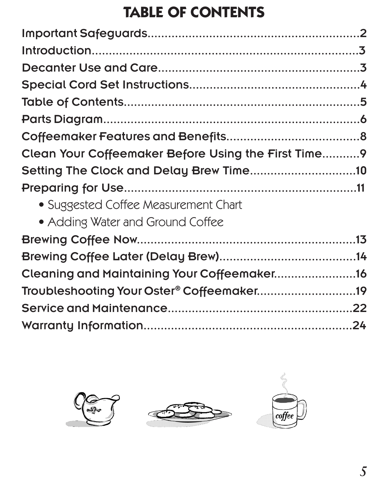## **TABLE OF CONTENTS**

| Clean Your Coffeemaker Before Using the First Time9 |  |
|-----------------------------------------------------|--|
| Setting The Clock and Delay Brew Time10             |  |
|                                                     |  |
| • Suggested Coffee Measurement Chart                |  |
| • Adding Water and Ground Coffee                    |  |
|                                                     |  |
|                                                     |  |
| Cleaning and Maintaining Your Coffeemaker16         |  |
| Troubleshooting Your Oster® Coffeemaker19           |  |
|                                                     |  |
|                                                     |  |





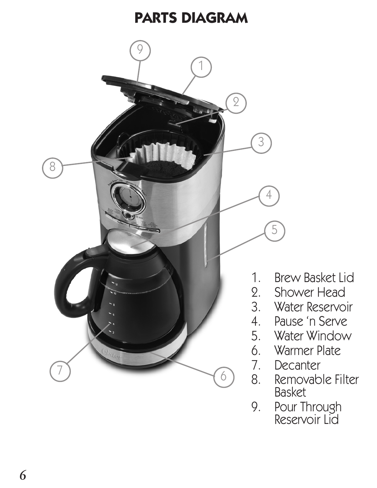#### **PARTS DIAGRAM**



9. Pour Through Reservoir Lid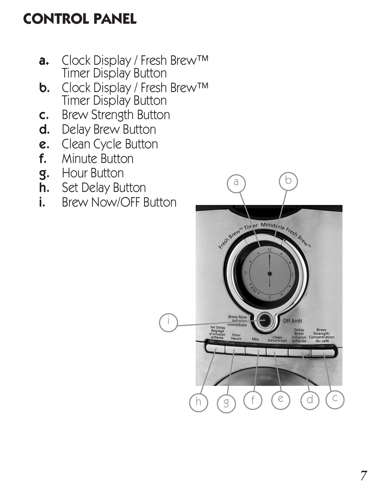## **CONTROL PANEL**

- **a.** Clock Display / Fresh Brew™ Timer Display Button
- **b.** Clock Display / Fresh Brew™ Timer Display Button
- c. Brew Strength Button
- d. Delay Brew Button
- e. Clean Cycle Button
- f. Minute Button
- g. Hour Button
- **h.** Set Delay Button<br>**i.** Brew Now/OFF F
- Brew Now/OFF Button

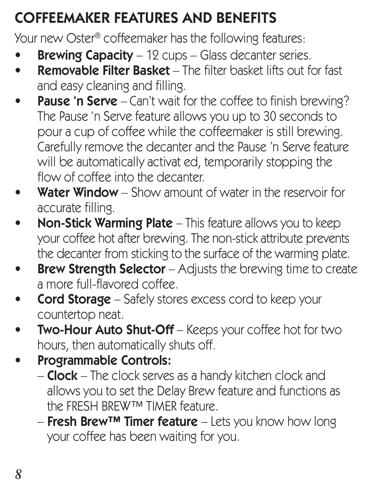## COFFEEMAKER FEATURES AND BENEFITS

Your new Oster® coffeemaker has the following features:

- **Brewing Capacity**  $-12$  cups  $-$  Glass decanter series.
- **Removable Filter Basket** The filter basket lifts out for fast and easy cleaning and filling.
- Pause 'n Serve Can't wait for the coffee to finish brewing? The Pause 'n Serve feature allows you up to 30 seconds to pour a cup of coffee while the coffeemaker is still brewing. Carefully remove the decanter and the Pause 'n Serve feature will be automatically activat ed, temporarily stopping the flow of coffee into the decanter.
- **Water Window** Show amount of water in the reservoir for accurate filling.
- Non-Stick Warming Plate This feature allows you to keep your coffee hot after brewing. The non-stick attribute prevents the decanter from sticking to the surface of the warming plate.
- **Brew Strength Selector** Adjusts the brewing time to create a more full-flavored coffee.
- Cord Storage Safely stores excess cord to keep your countertop neat.
- **Two-Hour Auto Shut-Off** Keeps your coffee hot for two hours, then automatically shuts off.
- Programmable Controls:
	- **Clock** The clock serves as a handy kitchen clock and allows you to set the Delay Brew feature and functions as the FRESH BREW™ TIMER feature.
	- $-$  Fresh Brew™ Timer feature Lets you know how long your coffee has been waiting for you.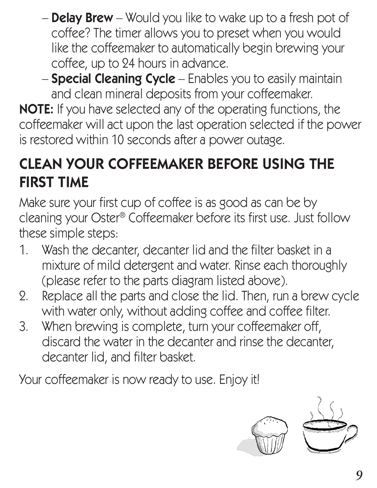- **Delay Brew** Would you like to wake up to a fresh pot of coffee? The timer allows you to preset when you would like the coffeemaker to automatically begin brewing your coffee, up to 24 hours in advance.
- **Special Cleaning Cycle** Enables you to easily maintain and clean mineral deposits from your coffeemaker.

**NOTE:** If you have selected any of the operating functions, the coffeemaker will act upon the last operation selected if the power is restored within 10 seconds after a power outage.

## CLEAN YOUR COFFEEMAKER BEFORE USING THE FIRST TIME

Make sure your first cup of coffee is as good as can be by cleaning your Oster® Coffeemaker before its first use. Just follow these simple steps:

- 1. Wash the decanter, decanter lid and the filter basket in a mixture of mild detergent and water. Rinse each thoroughly (please refer to the parts diagram listed above).
- 2. Replace all the parts and close the lid. Then, run a brew cycle with water only, without adding coffee and coffee filter.
- 3. When brewing is complete, turn your coffeemaker off, discard the water in the decanter and rinse the decanter, decanter lid, and filter basket.

Your coffeemaker is now ready to use. Enjoy it!

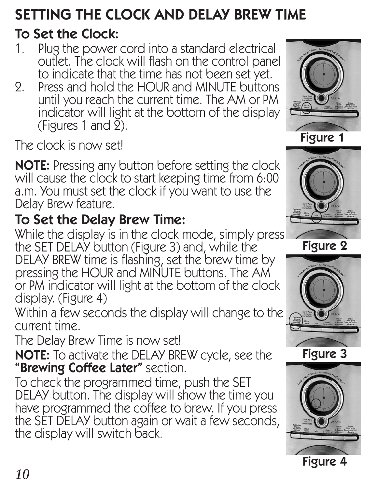## SETTING THE CLOCK AND DELAY BREW TIME

#### To Set the Clock:

- 1. Plug the power cord into a standard electrical outlet. The clock will flash on the control panel to indicate that the time has not been set yet.
- 2. Press and hold the HOUR and MINUTE buttons until you reach the current time. The AM or PM indicator will light at the bottom of the display (Figures 1 and  $\tilde{2}$ ).

The clock is now set!

NOTE: Pressing any button before setting the clock will cause the clock to start keeping time from 6:00 a.m. You must set the clock if you want to use the Delay Brew feature.

#### To Set the Delay Brew Time:

While the display is in the clock mode, simply press the SET DELAY button (Figure 3) and, while the

DELAY BREW time is flashing, set the brew time by pressing the HOUR and MINUTE buttons. The AM or PM indicator will light at the bottom of the clock display. (Figure 4)

Within a few seconds the display will change to the current time.

The Delay Brew Time is now set!

NOTE: To activate the DELAY BREW cycle, see the "Brewing Coffee Later" section.

To check the programmed time, push the SET DELAY button. The display will show the time you have programmed the coffee to brew. If you press the SET DELAY button again or wait a few seconds, the display will switch back.









Figure 4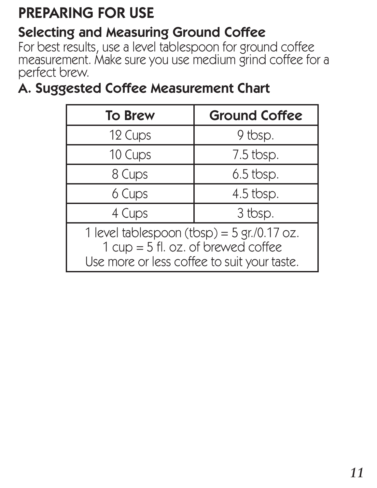## PREPARING FOR USE

#### Selecting and Measuring Ground Coffee

For best results, use a level tablespoon for ground coffee measurement. Make sure you use medium grind coffee for a perfect brew.

#### A. Suggested Coffee Measurement Chart

| <b>To Brew</b>                                                                                                                        | <b>Ground Coffee</b> |  |
|---------------------------------------------------------------------------------------------------------------------------------------|----------------------|--|
| 12 Cups                                                                                                                               | 9 tbsp.              |  |
| 10 Cups                                                                                                                               | 7.5 tbsp.            |  |
| 8 Cups                                                                                                                                | 6.5 tbsp.            |  |
| 6 Cups                                                                                                                                | 4.5 tbsp.            |  |
| 4 Cups                                                                                                                                | 3 tbsp.              |  |
| 1 level tablespoon $(tbsp) = 5$ gr./0.17 oz.<br>$1 cup = 5 fl. oz. of be we do coffee$<br>Use more or less coffee to suit your taste. |                      |  |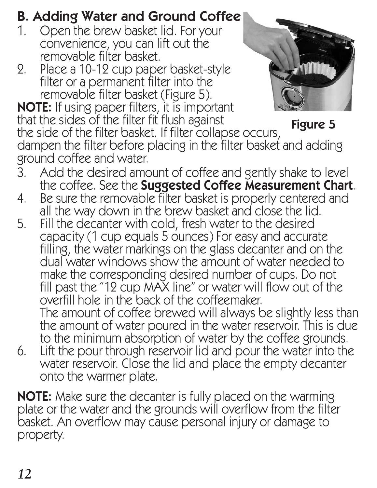#### B. Adding Water and Ground Coffee

- 1. Open the brew basket lid. For your convenience, you can lift out the removable filter basket.
- 2. Place a 10-12 cup paper basket-style filter or a permanent filter into the removable filter basket (Figure 5). NOTE: If using paper filters, it is important



that the sides of the filter fit flush against the side of the filter basket. If filter collapse occurs, dampen the filter before placing in the filter basket and adding ground coffee and water. Figure 5

- 3. Add the desired amount of coffee and gently shake to level the coffee. See the Suggested Coffee Measurement Chart.
- 4. Be sure the removable filter basket is properly centered and all the way down in the brew basket and close the lid.
- 5. Fill the decanter with cold, fresh water to the desired capacity (1 cup equals 5 ounces) For easy and accurate filling, the water markings on the glass decanter and on the dual water windows show the amount of water needed to make the corresponding desired number of cups. Do not fill past the "12 cup MAX line" or water will flow out of the overfill hole in the back of the coffeemaker. The amount of coffee brewed will always be slightly less than the amount of water poured in the water reservoir. This is due to the minimum absorption of water by the coffee grounds.
- 6. Lift the pour through reservoir lid and pour the water into the water reservoir. Close the lid and place the empty decanter onto the warmer plate.

**NOTE:** Make sure the decanter is fully placed on the warming plate or the water and the grounds will overflow from the filter basket. An overflow may cause personal injury or damage to property.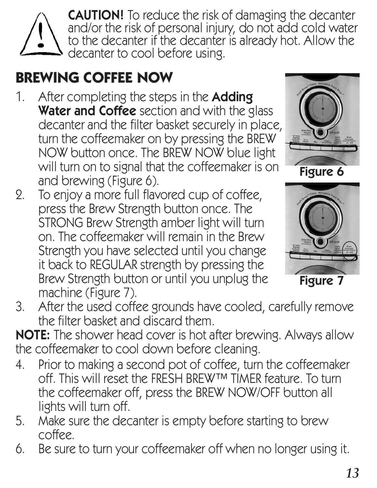

**CAUTION!** To reduce the risk of damaging the decanter and/or the risk of personal injury, do not add cold water to the decanter if the decanter is already hot. Allow the decanter to cool before using.

## **BREWING COFFEE NOW**

- 1. After completing the steps in the **Adding** Water and Coffee section and with the glass decanter and the filter basket securely in place, turn the coffeemaker on by pressing the BREW NOW button once. The BREW NOW blue light will turn on to signal that the coffeemaker is on and brewing (Figure 6).
- 2. To enjoy a more full flavored cup of coffee, press the Brew Strength button once. The STRONG Brew Strength amber light will turn on. The coffeemaker will remain in the Brew Strength you have selected until you change it back to REGULAR strength by pressing the Brew Strength button or until you unplug the machine (Figure 7).





Figure 7

3. After the used coffee grounds have cooled, carefully remove the filter basket and discard them.

NOTE: The shower head cover is hot after brewing. Always allow the coffeemaker to cool down before cleaning.

- 4. Prior to making a second pot of coffee, turn the coffeemaker off. This will reset the FRESH BREW™ TIMER feature. To turn the coffeemaker off, press the BREW NOW/OFF button all lights will turn off.
- 5. Make sure the decanter is empty before starting to brew coffee.
- 6. Be sure to turn your coffeemaker off when no longer using it.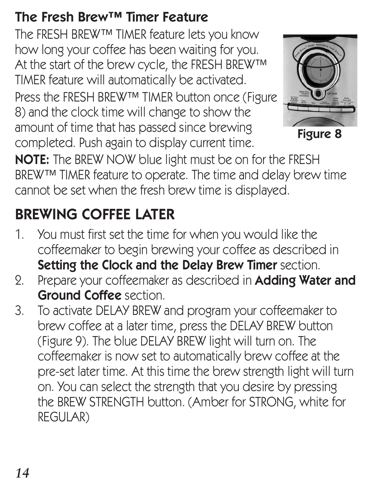#### The Fresh Brew™ Timer Feature

The FRESH BREW™ TIMER feature lets you know how long your coffee has been waiting for you. At the start of the brew cycle, the FRESH BREW™ TIMER feature will automatically be activated. Press the FRESH BREW™ TIMER button once (Figure 8) and the clock time will change to show the amount of time that has passed since brewing completed. Push again to display current time.



Figure 8

NOTE: The BREW NOW blue light must be on for the FRESH BREW™ TIMER feature to operate. The time and delay brew time cannot be set when the fresh brew time is displayed.

## BREWING COFFEE LATER

- 1. You must first set the time for when you would like the coffeemaker to begin brewing your coffee as described in Setting the Clock and the Delay Brew Timer section.
- 2. Prepare your coffeemaker as described in **Adding Water and** Ground Coffee section.
- 3. To activate DELAY BREW and program your coffeemaker to brew coffee at a later time, press the DELAY BREW button (Figure 9). The blue DELAY BREW light will turn on. The coffeemaker is now set to automatically brew coffee at the pre-set later time. At this time the brew strength light will turn on. You can select the strength that you desire by pressing the BREW STRENGTH button. (Amber for STRONG, white for REGULAR)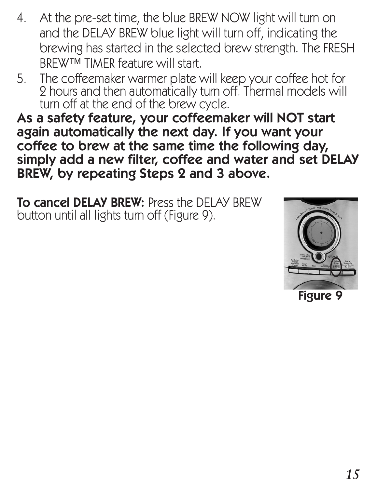- 4. At the pre-set time, the blue BREW NOW light will turn on and the DELAY BREW blue light will turn off, indicating the brewing has started in the selected brew strength. The FRESH BREW™ TIMER feature will start
- 5. The coffeemaker warmer plate will keep your coffee hot for 2 hours and then automatically turn off. Thermal models will turn off at the end of the brew cycle.

As a safety feature, your coffeemaker will NOT start again automatically the next day. If you want your coffee to brew at the same time the following day, simply add a new filter, coffee and water and set DELAY BREW, by repeating Steps 2 and 3 above.

To cancel DELAY BREW: Press the DELAY BREW button until all lights turn off (Figure 9).

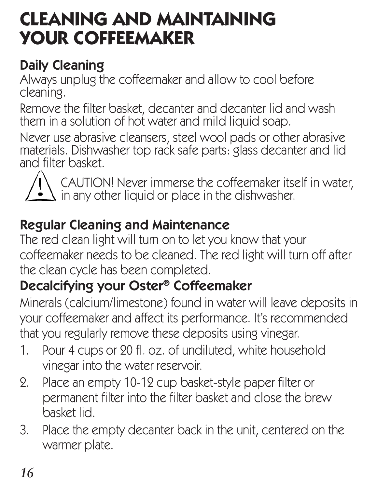## **CLEANING AND MAINTAINING YOUR COFFEEMAKER**

#### Daily Cleaning

Always unplug the coffeemaker and allow to cool before cleaning.

Remove the filter basket, decanter and decanter lid and wash them in a solution of hot water and mild liquid soap.

Never use abrasive cleansers, steel wool pads or other abrasive materials. Dishwasher top rack safe parts: glass decanter and lid and filter basket.



CAUTION! Never immerse the coffeemaker itself in water, in any other liquid or place in the dishwasher.

#### Regular Cleaning and Maintenance

The red clean light will turn on to let you know that your coffeemaker needs to be cleaned. The red light will turn off after the clean cycle has been completed.

## Decalcifying your Oster® Coffeemaker

Minerals (calcium/limestone) found in water will leave deposits in your coffeemaker and affect its performance. It's recommended that you regularly remove these deposits using vinegar.

- 1. Pour 4 cups or 20 fl. oz. of undiluted, white household vinegar into the water reservoir.
- 2. Place an empty 10-12 cup basket-style paper filter or permanent filter into the filter basket and close the brew basket lid.
- 3. Place the empty decanter back in the unit, centered on the warmer plate.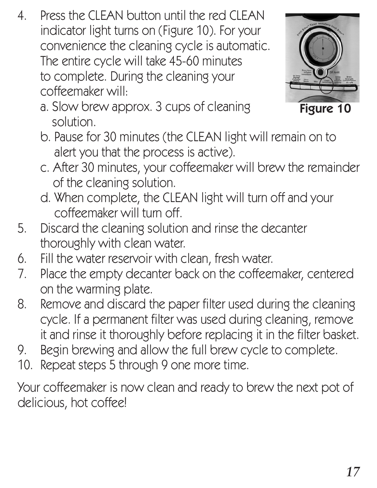4. Press the CLEAN button until the red CLEAN indicator light turns on (Figure 10). For your convenience the cleaning cycle is automatic. The entire cycle will take 45-60 minutes to complete. During the cleaning your coffeemaker will:



a. Slow brew approx. 3 cups of cleaning solution.

Figure 10

- b. Pause for 30 minutes (the CLEAN light will remain on to alert you that the process is active).
- c. After 30 minutes, your coffeemaker will brew the remainder of the cleaning solution.
- d. When complete, the CLEAN light will turn off and your coffeemaker will turn off.
- 5. Discard the cleaning solution and rinse the decanter thoroughly with clean water.
- 6. Fill the water reservoir with clean, fresh water.
- 7. Place the empty decanter back on the coffeemaker, centered on the warming plate.
- 8. Remove and discard the paper filter used during the cleaning cycle. If a permanent filter was used during cleaning, remove it and rinse it thoroughly before replacing it in the filter basket.
- 9. Begin brewing and allow the full brew cycle to complete.
- 10. Repeat steps 5 through 9 one more time.

Your coffeemaker is now clean and ready to brew the next pot of delicious, hot coffee!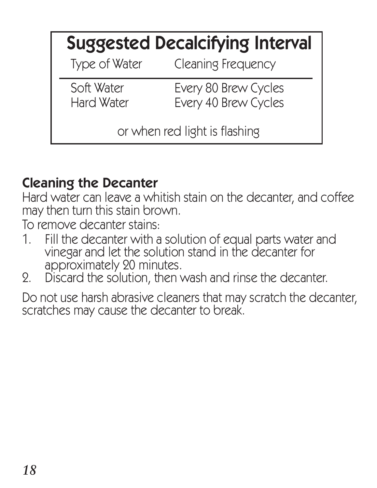|                               | <b>Suggested Decalcifying Interval</b>       |  |
|-------------------------------|----------------------------------------------|--|
| Type of Water                 | <b>Cleaning Frequency</b>                    |  |
| Soft Water<br>Hard Water      | Every 80 Brew Cycles<br>Every 40 Brew Cycles |  |
| or when red light is flashing |                                              |  |

#### Cleaning the Decanter

Hard water can leave a whitish stain on the decanter, and coffee may then turn this stain brown.

To remove decanter stains:

- 1. Fill the decanter with a solution of equal parts water and vinegar and let the solution stand in the decanter for approximately 20 minutes.
- 2. Discard the solution, then wash and rinse the decanter.

Do not use harsh abrasive cleaners that may scratch the decanter, scratches may cause the decanter to break.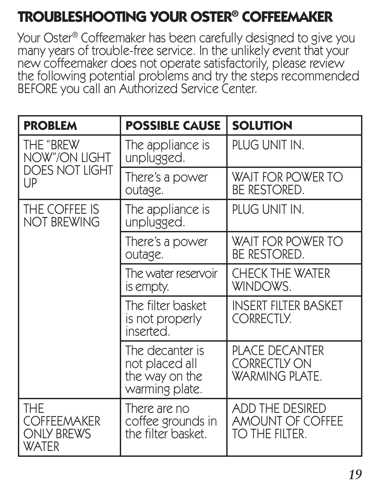## **TROUBLESHOOTING YOUR OSTER® COFFEEMAKER**

Your Oster® Coffeemaker has been carefully designed to give you many years of trouble-free service. In the unlikely event that your new coffeemaker does not operate satisfactorily, please review the following potential problems and try the steps recommended BEFORE you call an Authorized Service Center.

| <b>PROBLEM</b>                                                 | <b>POSSIBLE CAUSE</b>                                                 | <b>SOLUTION</b>                                                       |
|----------------------------------------------------------------|-----------------------------------------------------------------------|-----------------------------------------------------------------------|
| THE "BREW<br>NOW"/ON LIGHT<br><b>DOES NOT LIGHT</b><br>UP      | The appliance is<br>unplugged.                                        | PLUG UNIT IN.                                                         |
|                                                                | There's a power<br>outage.                                            | <b>WAIT FOR POWER TO</b><br><b>BE RESTORED.</b>                       |
| THE COFFEE IS<br><b>NOT BREWING</b>                            | The appliance is<br>unplugged.                                        | PLUG UNIT IN.                                                         |
|                                                                | There's a power<br>outage.                                            | <b>WAIT FOR POWER TO</b><br><b>BE RESTORED.</b>                       |
|                                                                | The water reservoir<br>is empty.                                      | <b>CHECK THE WATER</b><br>WINDOWS.                                    |
|                                                                | The filter basket<br>is not properly<br>inserted.                     | <b>INSERT FILTER BASKET</b><br><b>CORRECTLY.</b>                      |
|                                                                | The decanter is<br>not placed all<br>the way on the<br>warming plate. | <b>PLACE DECANTER</b><br><b>CORRECTLY ON</b><br><b>WARMING PLATE.</b> |
| THE<br><b>COFFEEMAKER</b><br><b>ONLY BREWS</b><br><b>WATER</b> | There are no<br>coffee grounds in<br>the filter basket.               | ADD THE DESIRED<br><b>AMOUNT OF COFFEE</b><br>to the filter.          |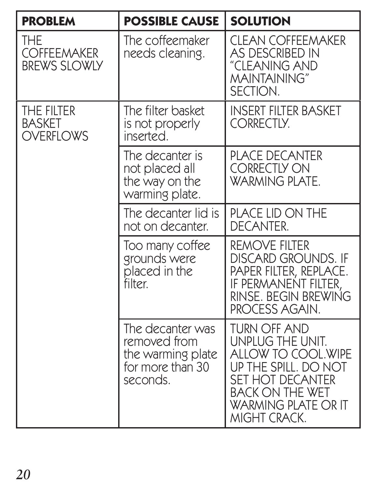| <b>PROBLEM</b>                                   | <b>POSSIBLE CAUSE</b>                                                                 | <b>SOLUTION</b>                                                                                                                                                            |
|--------------------------------------------------|---------------------------------------------------------------------------------------|----------------------------------------------------------------------------------------------------------------------------------------------------------------------------|
| THE<br><b>COFFEEMAKER</b><br><b>BREWS SLOWLY</b> | The coffeemaker<br>needs cleaning.                                                    | <b>CLEAN COFFEEMAKER</b><br><b>AS DESCRIBED IN</b><br>"CLEANING AND<br><b>MAINTAINING</b> "<br>SECTION.                                                                    |
| THE FILTER<br><b>BASKET</b><br><b>OVERFLOWS</b>  | The filter basket<br>is not properly<br>inserted.                                     | <b>INSERT FILTER BASKET</b><br>CORRECTLY.                                                                                                                                  |
|                                                  | The decanter is<br>not placed all<br>the way on the<br>warming plate.                 | <b>PLACE DECANTER</b><br><b>CORRECTLY ON</b><br><b>WARMING PLATE.</b>                                                                                                      |
|                                                  | The decanter lid is<br>not on decanter.                                               | <b>PLACE LID ON THE</b><br><b>DECANTER.</b>                                                                                                                                |
|                                                  | Too many coffee<br>grounds were<br>placed in the<br>filter.                           | <b>REMOVE FILTER</b><br><b>DISCARD GROUNDS. IF</b><br>PAPER FILTER, REPLACE.<br>IF PERMANENT FILTER,<br>RINSE. BEGIN BREWING<br>PROCESS AGAIN.                             |
|                                                  | The decanter was<br>removed from<br>the warming plate<br>for more than 30<br>seconds. | TURN OFF AND<br>UNPLUG THE UNIT.<br>ALLOW TO COOL.WIPE<br>UP THE SPILL. DO NOT<br>SET HOT DECANTER<br><b>BACK ON THE WET</b><br><b>WARMING PLATE OR IT</b><br>MIGHT CRACK. |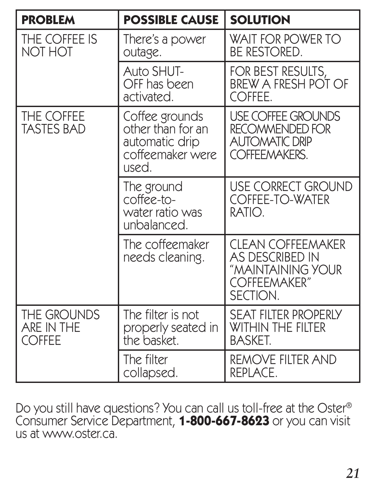| <b>PROBLEM</b>                             | <b>POSSIBLE CAUSE</b>                                                              | <b>SOLUTION</b>                                                                               |
|--------------------------------------------|------------------------------------------------------------------------------------|-----------------------------------------------------------------------------------------------|
| THE COFFEE IS<br><b>NOT HOT</b>            | There's a power<br>outage.                                                         | <b>WAIT FOR POWER TO</b><br><b>BE RESTORED.</b>                                               |
|                                            | Auto SHUT-<br>OFF has been<br>activated.                                           | FOR BEST RESULTS,<br>BREW A FRESH POT OF<br>COFFEE.                                           |
| THE COFFEE<br><b>TASTES BAD</b>            | Coffee grounds<br>other than for an<br>automatic drip<br>coffeemaker were<br>used. | <b>USE COFFEE GROUNDS</b><br>RECOMMENDED FOR<br><b>AUTOMATIC DRIP</b><br><b>COFFEEMAKERS.</b> |
|                                            | The ground<br>coffee-to-<br>water ratio was<br>unbalanced.                         | <b>USE CORRECT GROUND</b><br><b>COFFEE-TO-WATER</b><br>RATIO.                                 |
|                                            | The coffeemaker<br>needs cleaning.                                                 | <b>CLEAN COFFEEMAKER</b><br>AS DESCRIBED IN<br>"MAINTAINING YOUR<br>COFFEEMAKER"<br>SECTION.  |
| THE GROUNDS<br>ARE IN THE<br><b>COFFEE</b> | The filter is not<br>properly seated in<br>the basket.                             | <b>SEAT FILTER PROPERLY</b><br><b>WITHIN THE FILTER</b><br><b>BASKET.</b>                     |
|                                            | The filter<br>collapsed.                                                           | <b>REMOVE FILTER AND</b><br>REPLACE.                                                          |

Do you still have questions? You can call us toll-free at the Oster® Consumer Service Department, **1-800-667-8623** or you can visit us at www.oster.ca.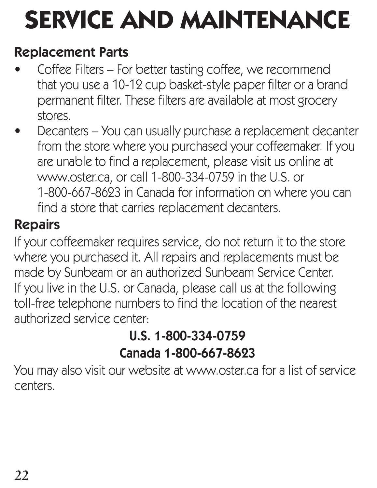## **SERVICE AND MAINTENANCE**

#### Replacement Parts

- Coffee Filters For better tasting coffee, we recommend that you use a 10-12 cup basket-style paper filter or a brand permanent filter. These filters are available at most grocery stores.
- Decanters You can usually purchase a replacement decanter from the store where you purchased your coffeemaker. If you are unable to find a replacement, please visit us online at www.oster.ca, or call 1-800-334-0759 in the U.S. or 1-800-667-8623 in Canada for information on where you can find a store that carries replacement decanters.

## Repairs

If your coffeemaker requires service, do not return it to the store where you purchased it. All repairs and replacements must be made by Sunbeam or an authorized Sunbeam Service Center. If you live in the U.S. or Canada, please call us at the following toll-free telephone numbers to find the location of the nearest authorized service center:

#### U.S. 1-800-334-0759 Canada 1-800-667-8623

You may also visit our website at www.oster.ca for a list of service centers.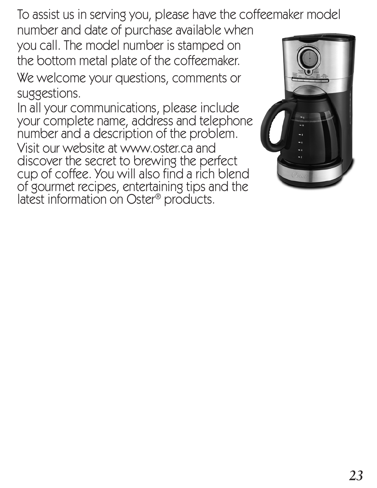To assist us in serving you, please have the coffeemaker model

number and date of purchase available when you call. The model number is stamped on the bottom metal plate of the coffeemaker.

We welcome your questions, comments or suggestions.

In all your communications, please include your complete name, address and telephone number and a description of the problem. Visit our website at www.oster.ca and discover the secret to brewing the perfect cup of coffee. You will also find a rich blend of gourmet recipes, entertaining tips and the latest information on Oster® products.

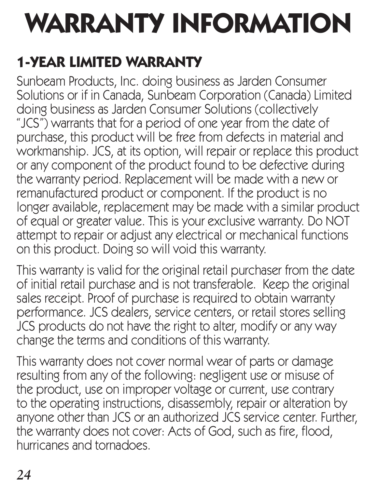# **WARRANTY INFORMATION**

## **1-YEAR LIMITED WARRANTY**

Sunbeam Products, Inc. doing business as Jarden Consumer Solutions or if in Canada, Sunbeam Corporation (Canada) Limited doing business as Jarden Consumer Solutions (collectively "JCS") warrants that for a period of one year from the date of purchase, this product will be free from defects in material and workmanship. JCS, at its option, will repair or replace this product or any component of the product found to be defective during the warranty period. Replacement will be made with a new or remanufactured product or component. If the product is no longer available, replacement may be made with a similar product of equal or greater value. This is your exclusive warranty. Do NOT attempt to repair or adjust any electrical or mechanical functions on this product. Doing so will void this warranty.

This warranty is valid for the original retail purchaser from the date of initial retail purchase and is not transferable. Keep the original sales receipt. Proof of purchase is required to obtain warranty performance. JCS dealers, service centers, or retail stores selling JCS products do not have the right to alter, modify or any way change the terms and conditions of this warranty.

This warranty does not cover normal wear of parts or damage resulting from any of the following: negligent use or misuse of the product, use on improper voltage or current, use contrary to the operating instructions, disassembly, repair or alteration by anyone other than JCS or an authorized JCS service center. Further, the warranty does not cover: Acts of God, such as fire, flood, hurricanes and tornadoes.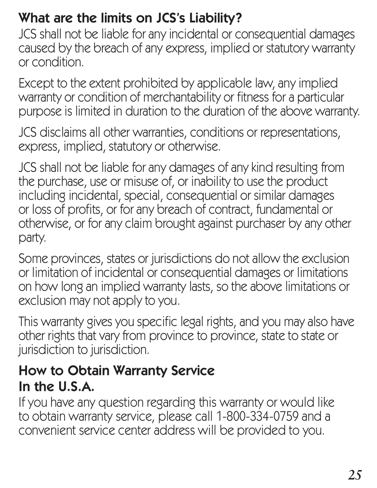#### What are the limits on JCS's Liability?

JCS shall not be liable for any incidental or consequential damages caused by the breach of any express, implied or statutory warranty or condition.

Except to the extent prohibited by applicable law, any implied warranty or condition of merchantability or fitness for a particular purpose is limited in duration to the duration of the above warranty.

JCS disclaims all other warranties, conditions or representations, express, implied, statutory or otherwise.

JCS shall not be liable for any damages of any kind resulting from the purchase, use or misuse of, or inability to use the product including incidental, special, consequential or similar damages or loss of profits, or for any breach of contract, fundamental or otherwise, or for any claim brought against purchaser by any other party.

Some provinces, states or jurisdictions do not allow the exclusion or limitation of incidental or consequential damages or limitations on how long an implied warranty lasts, so the above limitations or exclusion may not apply to you.

This warranty gives you specific legal rights, and you may also have other rights that vary from province to province, state to state or jurisdiction to jurisdiction.

#### How to Obtain Warranty Service In the U.S.A.

If you have any question regarding this warranty or would like to obtain warranty service, please call 1-800-334-0759 and a convenient service center address will be provided to you.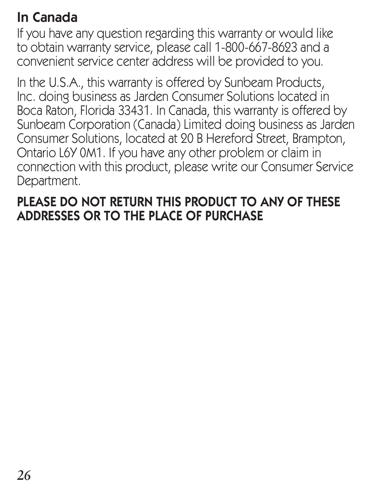#### In Canada

If you have any question regarding this warranty or would like to obtain warranty service, please call 1-800-667-8623 and a convenient service center address will be provided to you.

In the U.S.A., this warranty is offered by Sunbeam Products, Inc. doing business as Jarden Consumer Solutions located in Boca Raton, Florida 33431. In Canada, this warranty is offered by Sunbeam Corporation (Canada) Limited doing business as Jarden Consumer Solutions, located at 20 B Hereford Street, Brampton, Ontario L6Y 0M1. If you have any other problem or claim in connection with this product, please write our Consumer Service Department.

#### PLEASE DO NOT RETURN THIS PRODUCT TO ANY OF THESE ADDRESSES OR TO THE PLACE OF PURCHASE